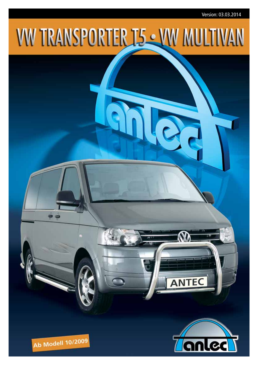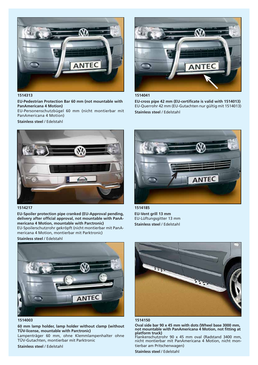

**1514313**

**EU-Pedestrian Protection Bar 60 mm (not mountable with PanAmericana 4 Motion)**

EU-Personenschutzbügel 60 mm (nicht montierbar mit PanAmericana 4 Motion)

**Stainless steel** / Edelstahl



**1514041** 

EU-cross pipe 42 mm (EU-certificate is valid with 1514013) EU-Querrohr 42 mm (EU-Gutachten nur gültig mit 1514013) **Stainless steel** / Edelstahl



## **1514217**

**EU-Spoiler protection pipe cranked (EU-Approval pending,**  delivery after official approval, not mountable with PanA**mericana 4 Motion, mountable with Parctronic)** EU-Spoilerschutzrohr gekröpft (nicht montierbar mit PanAmericana 4 Motion, montierbar mit Parktronic)





**<sup>1514003</sup>**

**60 mm lamp holder, lamp holder without clamp (without TÜV-license, mountable with Parctronic)**

Lampenträger 60 mm, ohne Klemmlampenhalter ohne TÜV-Gutachten, montierbar mit Parktronic

**Stainless steel** / Edelstahl



**1514185 EU-Vent grill 13 mm**  EU-Lüftungsgitter 13 mm **Stainless steel** / Edelstahl





**Oval side bar 90 x 45 mm with dots (Wheel base 3000 mm,**  not mountable with PanAmericana 4 Motion, not fitting at **platform truck)**

Flankenschutzrohr 90 x 45 mm oval (Radstand 3400 mm, nicht montierbar mit PanAmericana 4 Motion, nicht montierbar am Pritschenwagen)

**Stainless steel** / Edelstahl